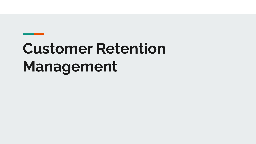# **Customer Retention Management**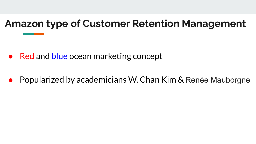## **Amazon type of Customer Retention Management**

- Red and blue ocean marketing concept
- Popularized by academicians W. Chan Kim & Renée Mauborgne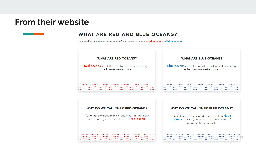#### **From their website**

#### **WHAT ARE RED AND BLUE OCEANS?**

The market universe is composed of two types of oceans: red oceans and blue oceans

#### **WHAT ARE RED OCEANS?**

**Red oceans** are all the industries in existence today the known market space.

 $\hspace*{1.5cm} \begin{minipage}{0.9cm} \begin{minipage}{0.9cm} \begin{minipage}{0.9cm} \begin{minipage}{0.9cm} \begin{minipage}{0.9cm} \begin{minipage}{0.9cm} \begin{minipage}{0.9cm} \begin{minipage}{0.9cm} \begin{minipage}{0.9cm} \begin{minipage}{0.9cm} \begin{minipage}{0.9cm} \begin{minipage}{0.9cm} \begin{minipage}{0.9cm} \begin{minipage}{0.9cm} \begin{minipage}{0.9cm} \begin{minipage}{0.9cm} \begin{minipage}{0.9cm} \begin{minipage$ 

 $.........$ 

 $.........$ 

 $...$ 

......

 $\cdots$ 

......

 $-0.00000$ 

 $-0.00000$ 

#### **WHAT ARE BLUE OCEANS?**

**Blue oceans** are all the industries not in existence today - the unknown market space.

 $\hspace*{20pt} \begin{minipage}{0.99\textwidth} \begin{itemize} \color{blue}{\textbf{1}} & \color{blue}{\textbf{1}} & \color{blue}{\textbf{1}} & \color{blue}{\textbf{1}} & \color{blue}{\textbf{1}} & \color{blue}{\textbf{1}} & \color{blue}{\textbf{1}} & \color{blue}{\textbf{1}} & \color{blue}{\textbf{1}} & \color{blue}{\textbf{1}} & \color{blue}{\textbf{1}} & \color{blue}{\textbf{1}} & \color{blue}{\textbf{1}} & \color{blue}{\textbf{1}} & \color{blue}{\textbf{1}} & \color{blue}{\textbf{1$ 

 $.........$ 

......

 $.........$ 

......

......

 $-0.00000$ 

 $.........$ 

 $.........$ 

#### WHY DO WE CALL THEM RED OCEANS?

Cut-throat competition in existing industries turns the ocean bloody red. Hence the term 'red ocean'

 $\hspace*{1.5cm} \begin{minipage}{0.9cm} \begin{minipage}{0.9cm} \begin{minipage}{0.9cm} \begin{minipage}{0.9cm} \begin{minipage}{0.9cm} \begin{minipage}{0.9cm} \begin{minipage}{0.9cm} \begin{minipage}{0.9cm} \begin{minipage}{0.9cm} \begin{minipage}{0.9cm} \begin{minipage}{0.9cm} \begin{minipage}{0.9cm} \begin{minipage}{0.9cm} \begin{minipage}{0.9cm} \begin{minipage}{0.9cm} \begin{minipage}{0.9cm} \begin{minipage}{0.9cm} \begin{minipage$ 

 $\hspace*{1.5cm} \begin{minipage}{0.9cm} \begin{minipage}{0.9cm} \begin{minipage}{0.9cm} \begin{minipage}{0.9cm} \begin{minipage}{0.9cm} \begin{minipage}{0.9cm} \begin{minipage}{0.9cm} \begin{minipage}{0.9cm} \begin{minipage}{0.9cm} \begin{minipage}{0.9cm} \begin{minipage}{0.9cm} \begin{minipage}{0.9cm} \begin{minipage}{0.9cm} \begin{minipage}{0.9cm} \begin{minipage}{0.9cm} \begin{minipage}{0.9cm} \begin{minipage}{0.9cm} \begin{minipage$ 

 $\sim$  1999). The contract is a second contract of the contract of

#### WHY DO WE CALL THEM BLUE OCEANS?

Unexplored and untainted by competition, 'blue oceans' are vast, deep and powerful in terms of opportunity and growth.

and the same and same and same and same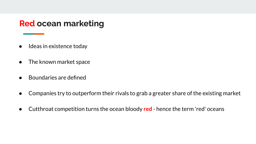#### **Red ocean marketing**

- Ideas in existence today
- The known market space
- Boundaries are defined
- Companies try to outperform their rivals to grab a greater share of the existing market
- Cutthroat competition turns the ocean bloody **red** hence the term 'red' oceans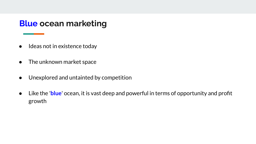#### **Blue ocean marketing**

- Ideas not in existence today
- The unknown market space
- Unexplored and untainted by competition
- Like the '**blue**' ocean, it is vast deep and powerful in terms of opportunity and profit growth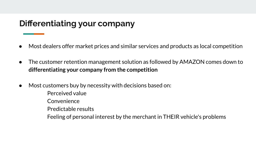#### **Differentiating your company**

- Most dealers offer market prices and similar services and products as local competition
- The customer retention management solution as followed by AMAZON comes down to **differentiating your company from the competition**
- **●** Most customers buy by necessity with decisions based on:
	- Perceived value
	- Convenience
	- Predictable results
	- Feeling of personal interest by the merchant in THEIR vehicle's problems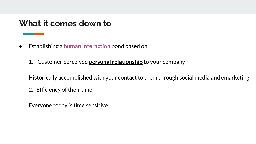#### **What it comes down to**

- **Establishing a human interaction** bond based on
	- 1. Customer perceived **personal relationship** to your company

Historically accomplished with your contact to them through social media and emarketing

2. Efficiency of their time

Everyone today is time sensitive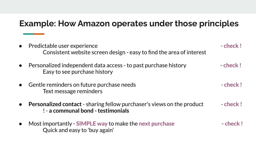### **Example: How Amazon operates under those principles**

| • Predictable user experience<br>Consistent website screen design - easy to find the area of interest               | - check!   |
|---------------------------------------------------------------------------------------------------------------------|------------|
| Personalized independent data access - to past purchase history<br>Easy to see purchase history                     | $-$ check! |
| Gentle reminders on future purchase needs<br>Text message reminders                                                 | - check!   |
| <b>Personalized contact</b> - sharing fellow purchaser's views on the product<br>! - a communal bond - testimonials | - check!   |
| Most importantly - SIMPLE way to make the next purchase<br>Quick and easy to 'buy again'                            | - check!   |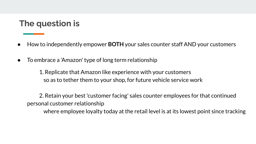### **The question is**

- How to independently empower **BOTH** your sales counter staff AND your customers
- To embrace a 'Amazon' type of long term relationship

 1. Replicate that Amazon like experience with your customers so as to tether them to your shop, for future vehicle service work

 2. Retain your best 'customer facing' sales counter employees for that continued personal customer relationship

where employee loyalty today at the retail level is at its lowest point since tracking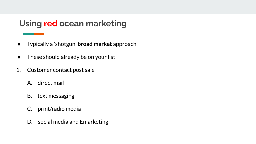### **Using red ocean marketing**

- Typically a 'shotgun' **broad market** approach
- These should already be on your list
- 1. Customer contact post sale
	- A. direct mail
	- B. text messaging
	- C. print/radio media
	- D. social media and Emarketing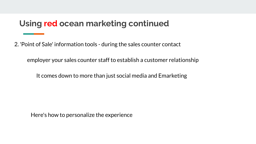2. 'Point of Sale' information tools - during the sales counter contact

employer your sales counter staff to establish a customer relationship

It comes down to more than just social media and Emarketing

Here's how to personalize the experience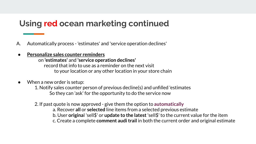- A. Automatically process 'estimates' and 'service operation declines'
- **● Personalize sales counter reminders**

on **'estimates'** and **'service operation declines'** record that info to use as a reminder on the next visit to your location or any other location in your store chain

**●** When a new order is setup:

 1. Notify sales counter person of previous decline(s) and unfilled 'estimates So they can 'ask' for the opportunity to do the service now

2. If past quote is now approved - give them the option to **automatically**

a. Recover **all** or **selected** line items from a selected previous estimate b. User **origina**l 'sell\$' or **update to the latest** 'sell\$' to the current value for the item c. Create a complete **comment audi trail** in both the current order and original estimate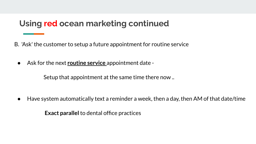B. 'Ask' the customer to setup a future appointment for routine service

**●** Ask for the next **routine service** appointment date -

Setup that appointment at the same time there now ..

**●** Have system automatically text a reminder a week, then a day, then AM of that date/time

**Exact parallel** to dental office practices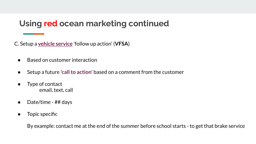C. Setup a **vehicle service** 'follow up action' (**VFSA**)

- **●** Based on customer interaction
- **●** Setup a future **'call to action'** based on a comment from the customer
- **●** Type of contact email, text, call
- **●** Date/time ## days
- **●** Topic specific

By example: contact me at the end of the summer before school starts - to get that brake service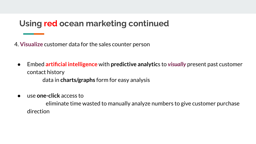4. **Visualize** customer data for the sales counter person

- **●** Embed **artificial intelligence** with **predictive analytic**s to *visually* present past customer contact history data in **charts/graphs** form for easy analysis
- **●** use **one-click** access to

 eliminate time wasted to manually analyze numbers to give customer purchase direction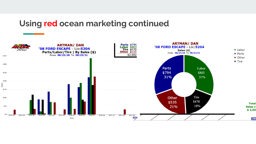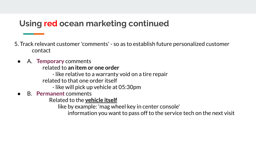5. Track relevant customer 'comments' - so as to establish future personalized customer contact

**●** A. **Temporary** comments related to **an item or one order**

- like relative to a warranty void on a tire repair

related to that one order itself

- like will pick up vehicle at 05:30pm

**●** B. **Permanent** comments

Related to the **vehicle itself**

like by example: 'mag wheel key in center console'

information you want to pass off to the service tech on the next visit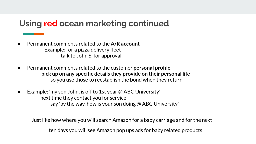- Permanent comments related to the A/R account Example: for a pizza delivery fleet 'talk to John S. for approval'
- **●** Permanent comments related to the customer **personal profile pick up on any specific details they provide on their personal life**  so you use those to reestablish the bond when they return
- **●** Example: 'my son John, is off to 1st year @ ABC University' next time they contact you for service say 'by the way, how is your son doing @ ABC University'

Just like how where you will search Amazon for a baby carriage and for the next

ten days you will see Amazon pop ups ads for baby related products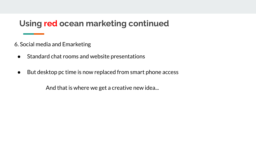6. Social media and Emarketing

- **●** Standard chat rooms and website presentations
- **●** But desktop pc time is now replaced from smart phone access

And that is where we get a creative new idea...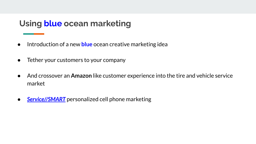### **Using blue ocean marketing**

- Introduction of a new **blue** ocean creative marketing idea
- Tether your customers to your company
- And crossover an **Amazon** like customer experience into the tire and vehicle service market
- **•** *Service//SMART* personalized cell phone marketing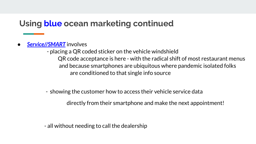**Service//SMART** involves

 - placing a QR coded sticker on the vehicle windshield QR code acceptance is here - with the radical shift of most restaurant menus and because smartphones are ubiquitous where pandemic isolated folks are conditioned to that single info source

- showing the customer how to access their vehicle service data

directly from their smartphone and make the next appointment!

- all without needing to call the dealership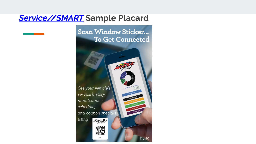#### *Service//SMART* **Sample Placard**

**Scan Window Sticker... To Get Connected** 

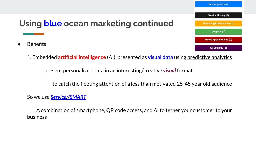#### **New Appointment** Service History (0) **Using blue ocean marketing continued Upcoming Maintenance (1)** Coupons (2) **Future Appointments (0)** All Vehicles (3)

1. Embedded **artificial intelligence** (AI), presented as **visual data** using predictive analytics

present personalized data in an interesting/creative *visual* format

to catch the fleeting attention of a less than motivated 25-45 year old audience

So we use *Service//SMART*

**Benefits** 

 A combination of smartphone, QR code access, and AI to tether your customer to your business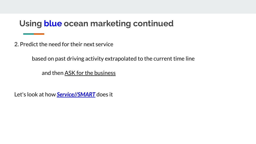2. Predict the need for their next service

based on past driving activity extrapolated to the current time line

and then ASK for the business

Let's look at how *Service//SMART* does it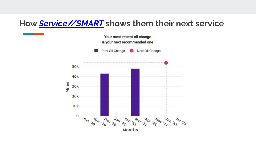#### **How** *Service//SMART* **shows them their next service**

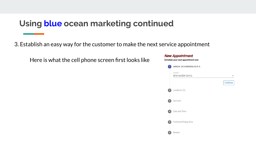3. Establish an easy way for the customer to make the next service appointment

Here is what the cell phone screen first looks like